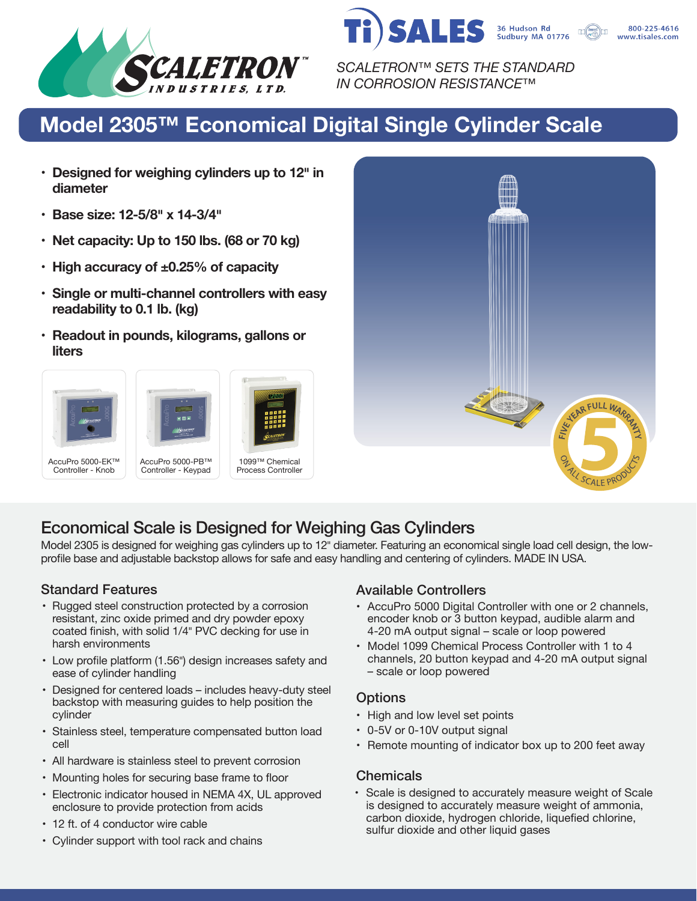



*SCALETRON™ SETS THE STANDARD IN CORROSION RESISTANCE™*

# **Model 2305™ Economical Digital Single Cylinder Scale**

- **• Designed for weighing cylinders up to 12� in diameter**
- **• Base size: 12-5/8� x 14-3/4�**
- **• Net capacity: Up to 150 lbs. (68 or 70 kg)**
- **• High accuracy of ±0.25% of capacity**
- **• Single or multi-channel controllers with easy readability to 0.1 lb. (kg)**
- **• Readout in pounds, kilograms, gallons or liters**





## Economical Scale is Designed for Weighing Gas Cylinders

Model 2305 is designed for weighing gas cylinders up to 12" diameter. Featuring an economical single load cell design, the lowprofile base and adjustable backstop allows for safe and easy handling and centering of cylinders. MADE IN USA.

- Rugged steel construction protected by a corrosion resistant, zinc oxide primed and dry powder epoxy coated finish, with solid 1/4" PVC decking for use in harsh environments
- Low profile platform (1.56") design increases safety and ease of cylinder handling
- Designed for centered loads includes heavy-duty steel backstop with measuring guides to help position the cylinder
- Stainless steel, temperature compensated button load cell
- All hardware is stainless steel to prevent corrosion
- Mounting holes for securing base frame to floor
- Electronic indicator housed in NEMA 4X, UL approved enclosure to provide protection from acids
- 12 ft. of 4 conductor wire cable
- Cylinder support with tool rack and chains

#### Standard Features **Available Controllers** Available Controllers

- AccuPro 5000 Digital Controller with one or 2 channels, encoder knob or 3 button keypad, audible alarm and 4-20 mA output signal – scale or loop powered
- Model 1099 Chemical Process Controller with 1 to 4 channels, 20 button keypad and 4-20 mA output signal – scale or loop powered

#### **Options**

- High and low level set points
- 0-5V or 0-10V output signal
- Remote mounting of indicator box up to 200 feet away

#### **Chemicals**

• Scale is designed to accurately measure weight of Scale is designed to accurately measure weight of ammonia, carbon dioxide, hydrogen chloride, liquefied chlorine, sulfur dioxide and other liquid gases